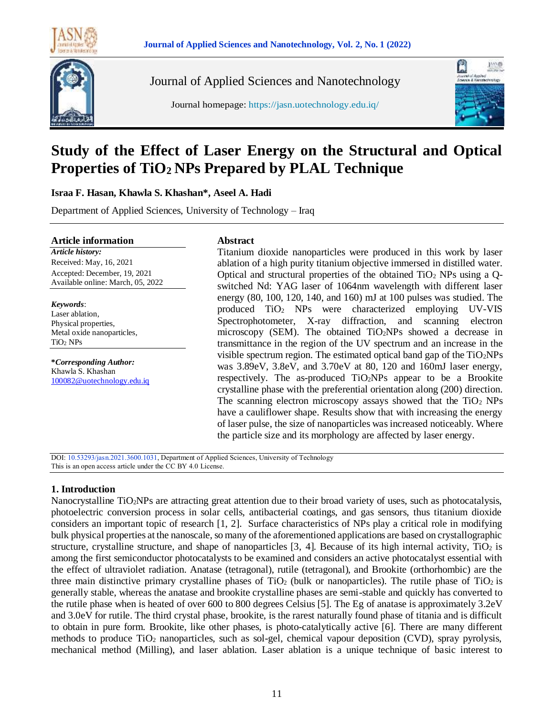



Journal of Applied Sciences and Nanotechnology

Journal homepage: https://jasn.uotechnology.edu.iq/



# **Study of the Effect of Laser Energy on the Structural and Optical Properties of TiO2 NPs Prepared by PLAL Technique**

**Israa F. Hasan, Khawla S. Khashan\*, Aseel A. Hadi**

Department of Applied Sciences, University of Technology – Iraq

### **Article information**

*Article history:* Received: May, 16, 2021 Accepted: December, 19, 2021 Available online: March, 05, 2022

*Keywords*: Laser ablation, Physical properties, Metal oxide nanoparticles, TiO<sup>2</sup> NPs

**\****Corresponding Author:* Khawla S. Khashan [100082@uotechnology.edu.iq](mailto:Khawla_salah@yahoo.com)

### **Abstract**

Titanium dioxide nanoparticles were produced in this work by laser ablation of a high purity titanium objective immersed in distilled water. Optical and structural properties of the obtained  $TiO<sub>2</sub>$  NPs using a Oswitched Nd: YAG laser of 1064nm wavelength with different laser energy (80, 100, 120, 140, and 160) mJ at 100 pulses was studied. The produced TiO<sup>2</sup> NPs were characterized employing UV-VIS Spectrophotometer, X-ray diffraction, and scanning electron microscopy (SEM). The obtained TiO2NPs showed a decrease in transmittance in the region of the UV spectrum and an increase in the visible spectrum region. The estimated optical band gap of the  $TiO<sub>2</sub>NPs$ was 3.89eV, 3.8eV, and 3.70eV at 80, 120 and 160mJ laser energy, respectively. The as-produced TiO2NPs appear to be a Brookite crystalline phase with the preferential orientation along (200) direction. The scanning electron microscopy assays showed that the  $TiO<sub>2</sub>$  NPs have a cauliflower shape. Results show that with increasing the energy of laser pulse, the size of nanoparticles was increased noticeably. Where the particle size and its morphology are affected by laser energy.

DOI: 10.53293/jasn.2021.3600.1031, Department of Applied Sciences, University of Technology This is an open access article under the CC BY 4.0 License.

### **1. Introduction**

Nanocrystalline TiO2NPs are attracting great attention due to their broad variety of uses, such as photocatalysis, photoelectric conversion process in solar cells, antibacterial coatings, and gas sensors, thus titanium dioxide considers an important topic of research [1, 2]. Surface characteristics of NPs play a critical role in modifying bulk physical properties at the nanoscale, so many of the aforementioned applications are based on crystallographic structure, crystalline structure, and shape of nanoparticles  $[3, 4]$ . Because of its high internal activity, TiO<sub>2</sub> is among the first semiconductor photocatalysts to be examined and considers an active photocatalyst essential with the effect of ultraviolet radiation. Anatase (tetragonal), rutile (tetragonal), and Brookite (orthorhombic) are the three main distinctive primary crystalline phases of  $TiO<sub>2</sub>$  (bulk or nanoparticles). The rutile phase of  $TiO<sub>2</sub>$  is generally stable, whereas the anatase and brookite crystalline phases are semi-stable and quickly has converted to the rutile phase when is heated of over 600 to 800 degrees Celsius [5]. The Eg of anatase is approximately 3.2eV and 3.0eV for rutile. The third crystal phase, brookite, is the rarest naturally found phase of titania and is difficult to obtain in pure form. Brookite, like other phases, is photo-catalytically active [6]. There are many different methods to produce TiO<sup>2</sup> nanoparticles, such as sol-gel, chemical vapour deposition (CVD), spray pyrolysis, mechanical method (Milling), and laser ablation. Laser ablation is a unique technique of basic interest to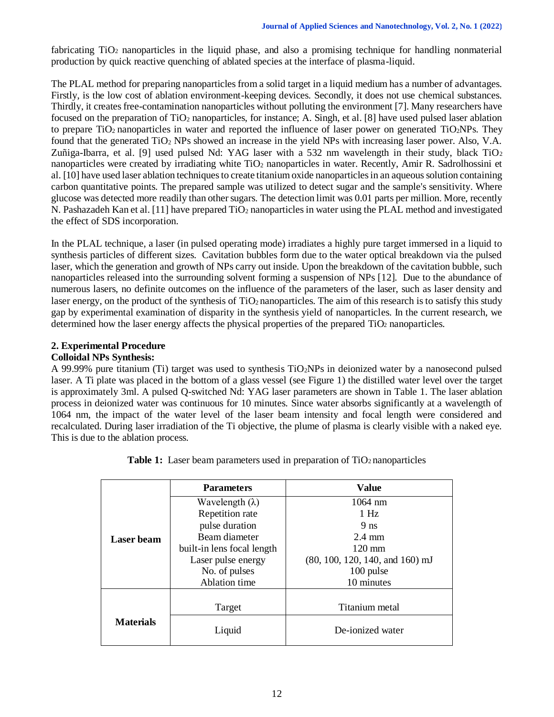fabricating TiO<sup>2</sup> nanoparticles in the liquid phase, and also a promising technique for handling nonmaterial production by quick reactive quenching of ablated species at the interface of plasma-liquid.

The PLAL method for preparing nanoparticles from a solid target in a liquid medium has a number of advantages. Firstly, is the low cost of ablation environment-keeping devices. Secondly, it does not use chemical substances. Thirdly, it creates free-contamination nanoparticles without polluting the environment [7]. Many researchers have focused on the preparation of  $TiO<sub>2</sub>$  nanoparticles, for instance; A. Singh, et al. [8] have used pulsed laser ablation to prepare  $TiO<sub>2</sub>$  nanoparticles in water and reported the influence of laser power on generated  $TiO<sub>2</sub>NPs$ . They found that the generated TiO<sup>2</sup> NPs showed an increase in the yield NPs with increasing laser power. Also, V.A. Zuñiga-Ibarra, et al. [9] used pulsed Nd: YAG laser with a 532 nm wavelength in their study, black  $TiO<sub>2</sub>$ nanoparticles were created by irradiating white TiO<sub>2</sub> nanoparticles in water. Recently, Amir R. Sadrolhossini et al. [10] have used laser ablation techniques to create titanium oxide nanoparticles in an aqueous solution containing carbon quantitative points. The prepared sample was utilized to detect sugar and the sample's sensitivity. Where glucose was detected more readily than other sugars. The detection limit was 0.01 parts per million. More, recently N. Pashazadeh Kan et al. [11] have prepared  $TiO<sub>2</sub>$  nanoparticles in water using the PLAL method and investigated the effect of SDS incorporation.

In the PLAL technique, a laser (in pulsed operating mode) irradiates a highly pure target immersed in a liquid to synthesis particles of different sizes. Cavitation bubbles form due to the water optical breakdown via the pulsed laser, which the generation and growth of NPs carry out inside. Upon the breakdown of the cavitation bubble, such nanoparticles released into the surrounding solvent forming a suspension of NPs [12]. Due to the abundance of numerous lasers, no definite outcomes on the influence of the parameters of the laser, such as laser density and laser energy, on the product of the synthesis of TiO<sub>2</sub> nanoparticles. The aim of this research is to satisfy this study gap by experimental examination of disparity in the synthesis yield of nanoparticles. In the current research, we determined how the laser energy affects the physical properties of the prepared TiO<sub>2</sub> nanoparticles.

# **2. Experimental Procedure**

### **Colloidal NPs Synthesis:**

A 99.99% pure titanium (Ti) target was used to synthesis TiO2NPs in deionized water by a nanosecond pulsed laser. A Ti plate was placed in the bottom of a glass vessel (see Figure 1) the distilled water level over the target is approximately 3ml. A pulsed Q-switched Nd: YAG laser parameters are shown in Table 1. The laser ablation process in deionized water was continuous for 10 minutes. Since water absorbs significantly at a wavelength of 1064 nm, the impact of the water level of the laser beam intensity and focal length were considered and recalculated. During laser irradiation of the Ti objective, the plume of plasma is clearly visible with a naked eye. This is due to the ablation process.

| <b>Laser</b> beam | <b>Parameters</b>          | <b>Value</b>                      |
|-------------------|----------------------------|-----------------------------------|
|                   | Wavelength $(\lambda)$     | $1064 \text{ nm}$                 |
|                   | Repetition rate            | 1Hz                               |
|                   | pulse duration             | 9 <sub>ns</sub>                   |
|                   | Beam diameter              | $2.4 \text{ mm}$                  |
|                   | built-in lens focal length | $120 \text{ mm}$                  |
|                   | Laser pulse energy         | $(80, 100, 120, 140, and 160)$ mJ |
|                   | No. of pulses              | 100 pulse                         |
|                   | Ablation time              | 10 minutes                        |
|                   |                            |                                   |
| <b>Materials</b>  | Target                     | Titanium metal                    |
|                   | Liquid                     | De-ionized water                  |

**Table 1:** Laser beam parameters used in preparation of TiO<sub>2</sub> nanoparticles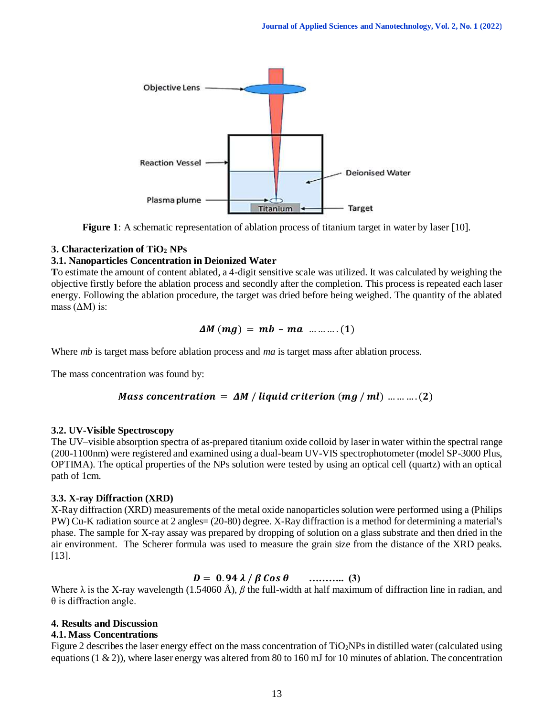

**Figure 1**: A schematic representation of ablation process of titanium target in water by laser [10].

# **3. Characterization of TiO<sup>2</sup> NPs**

# **3.1. Nanoparticles Concentration in Deionized Water**

**T**o estimate the amount of content ablated, a 4-digit sensitive scale was utilized. It was calculated by weighing the objective firstly before the ablation process and secondly after the completion. This process is repeated each laser energy. Following the ablation procedure, the target was dried before being weighed. The quantity of the ablated mass  $( \Delta M )$  is:

$$
\Delta M (mg) = mb - ma \dots (1)
$$

Where *mb* is target mass before ablation process and *ma* is target mass after ablation process.

The mass concentration was found by:

Mass concentration = 
$$
\Delta M / \text{liquid criterion (mg / ml)}
$$
 .........(2)

### **3.2. UV-Visible Spectroscopy**

The UV–visible absorption spectra of as-prepared titanium oxide colloid by laser in water within the spectral range (200-1100nm) were registered and examined using a dual-beam UV-VIS spectrophotometer (model SP-3000 Plus, OPTIMA). The optical properties of the NPs solution were tested by using an optical cell (quartz) with an optical path of 1cm.

# **3.3. X-ray Diffraction (XRD)**

X-Ray diffraction (XRD) measurements of the metal oxide nanoparticles solution were performed using a (Philips PW) Cu-K radiation source at 2 angles= (20-80) degree. X-Ray diffraction is a method for determining a material's phase. The sample for X-ray assay was prepared by dropping of solution on a glass substrate and then dried in the air environment. The Scherer formula was used to measure the grain size from the distance of the XRD peaks. [13].

# $D = 0.94 \lambda / \beta \cos \theta$  ………... (3)

Where λ is the X-ray wavelength (1.54060 Å), *β* the full-width at half maximum of diffraction line in radian, and  $\theta$  is diffraction angle.

### **4. Results and Discussion**

### **4.1. Mass Concentrations**

Figure 2 describes the laser energy effect on the mass concentration of TiO2NPs in distilled water (calculated using equations (1  $\&$  2)), where laser energy was altered from 80 to 160 mJ for 10 minutes of ablation. The concentration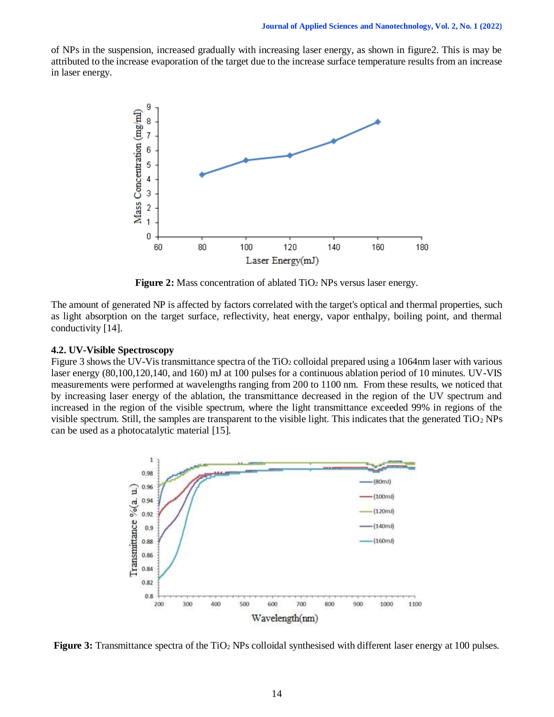of NPs in the suspension, increased gradually with increasing laser energy, as shown in figure2. This is may be attributed to the increase evaporation of the target due to the increase surface temperature results from an increase in laser energy.



**Figure 2:** Mass concentration of ablated TiO<sub>2</sub> NPs versus laser energy.

The amount of generated NP is affected by factors correlated with the target's optical and thermal properties, such as light absorption on the target surface, reflectivity, heat energy, vapor enthalpy, boiling point, and thermal conductivity [14].

### **4.2. UV-Visible Spectroscopy**

Figure 3 shows the UV-Vis transmittance spectra of the  $TiO<sub>2</sub>$  colloidal prepared using a 1064nm laser with various laser energy (80,100,120,140, and 160) mJ at 100 pulses for a continuous ablation period of 10 minutes. UV-VIS measurements were performed at wavelengths ranging from 200 to 1100 nm. From these results, we noticed that by increasing laser energy of the ablation, the transmittance decreased in the region of the UV spectrum and increased in the region of the visible spectrum, where the light transmittance exceeded 99% in regions of the visible spectrum. Still, the samples are transparent to the visible light. This indicates that the generated  $TiO<sub>2</sub> NPs$ can be used as a photocatalytic material [15].



**Figure 3:** Transmittance spectra of the TiO<sub>2</sub> NPs colloidal synthesised with different laser energy at 100 pulses.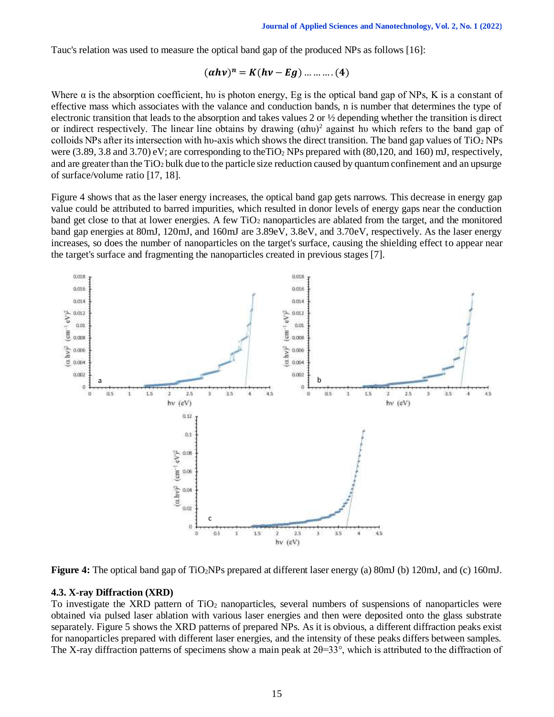Tauc's relation was used to measure the optical band gap of the produced NPs as follows [16]:

$$
(ahv)^n = K(hv - Eg)
$$
 .... .... (4)

Where  $\alpha$  is the absorption coefficient, hv is photon energy, Eg is the optical band gap of NPs, K is a constant of effective mass which associates with the valance and conduction bands, n is number that determines the type of electronic transition that leads to the absorption and takes values 2 or ½ depending whether the transition is direct or indirect respectively. The linear line obtains by drawing  $(ahu)^2$  against hu which refers to the band gap of colloids NPs after its intersection with hu-axis which shows the direct transition. The band gap values of  $TiO<sub>2</sub>$  NPs were  $(3.89, 3.8 \text{ and } 3.70)$  eV; are corresponding to theTiO<sub>2</sub> NPs prepared with  $(80,120, \text{ and } 160)$  mJ, respectively, and are greater than the TiO<sup>2</sup> bulk due to the particle size reduction caused by quantum confinement and an upsurge of surface/volume ratio [17, 18].

Figure 4 shows that as the laser energy increases, the optical band gap gets narrows. This decrease in energy gap value could be attributed to barred impurities, which resulted in donor levels of energy gaps near the conduction band get close to that at lower energies. A few TiO<sup>2</sup> nanoparticles are ablated from the target, and the monitored band gap energies at 80mJ, 120mJ, and 160mJ are 3.89eV, 3.8eV, and 3.70eV, respectively. As the laser energy increases, so does the number of nanoparticles on the target's surface, causing the shielding effect to appear near the target's surface and fragmenting the nanoparticles created in previous stages [7].



**Figure 4:** The optical band gap of TiO2NPs prepared at different laser energy (a) 80mJ (b) 120mJ, and (c) 160mJ.

### **4.3. X-ray Diffraction (XRD)**

To investigate the XRD pattern of  $TiO<sub>2</sub>$  nanoparticles, several numbers of suspensions of nanoparticles were obtained via pulsed laser ablation with various laser energies and then were deposited onto the glass substrate separately. Figure 5 shows the XRD patterns of prepared NPs. As it is obvious, a different diffraction peaks exist for nanoparticles prepared with different laser energies, and the intensity of these peaks differs between samples. The X-ray diffraction patterns of specimens show a main peak at  $2\theta=33^{\circ}$ , which is attributed to the diffraction of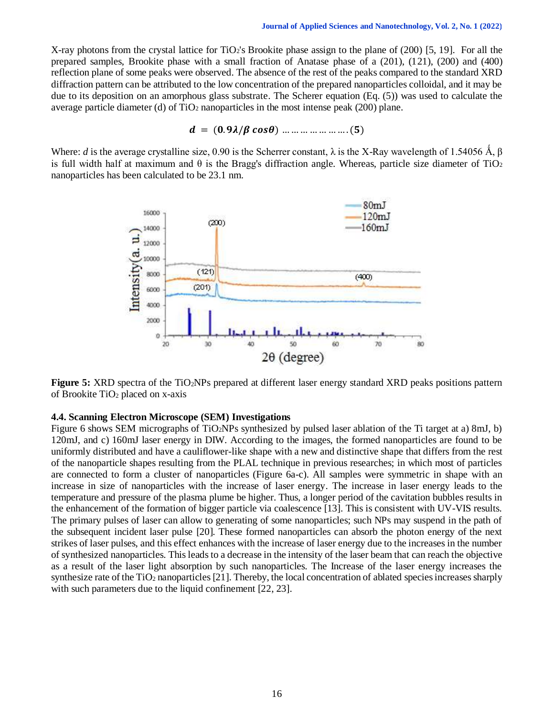X-ray photons from the crystal lattice for TiO2's Brookite phase assign to the plane of (200) [5, 19]. For all the prepared samples, Brookite phase with a small fraction of Anatase phase of a (201), (121), (200) and (400) reflection plane of some peaks were observed. The absence of the rest of the peaks compared to the standard XRD diffraction pattern can be attributed to the low concentration of the prepared nanoparticles colloidal, and it may be due to its deposition on an amorphous glass substrate. The Scherer equation (Eq. (5)) was used to calculate the average particle diameter (d) of  $TiO<sub>2</sub>$  nanoparticles in the most intense peak (200) plane.

$$
d = (0.9\lambda/\beta \cos\theta) \dots \dots \dots \dots \dots \dots (5)
$$

Where: *d* is the average crystalline size, 0.90 is the Scherrer constant,  $\lambda$  is the X-Ray wavelength of 1.54056 Å, β is full width half at maximum and  $\theta$  is the Bragg's diffraction angle. Whereas, particle size diameter of TiO<sub>2</sub> nanoparticles has been calculated to be 23.1 nm.



**Figure 5:** XRD spectra of the TiO2NPs prepared at different laser energy standard XRD peaks positions pattern of Brookite  $TiO<sub>2</sub>$  placed on x-axis

#### **4.4. Scanning Electron Microscope (SEM) Investigations**

Figure 6 shows SEM micrographs of TiO2NPs synthesized by pulsed laser ablation of the Ti target at a) 8mJ, b) 120mJ, and c) 160mJ laser energy in DIW. According to the images, the formed nanoparticles are found to be uniformly distributed and have a cauliflower-like shape with a new and distinctive shape that differs from the rest of the nanoparticle shapes resulting from the PLAL technique in previous researches; in which most of particles are connected to form a cluster of nanoparticles (Figure 6a-c). All samples were symmetric in shape with an increase in size of nanoparticles with the increase of laser energy. The increase in laser energy leads to the temperature and pressure of the plasma plume be higher. Thus, a longer period of the cavitation bubbles results in the enhancement of the formation of bigger particle via coalescence [13]. This is consistent with UV-VIS results. The primary pulses of laser can allow to generating of some nanoparticles; such NPs may suspend in the path of the subsequent incident laser pulse [20]. These formed nanoparticles can absorb the photon energy of the next strikes of laser pulses, and this effect enhances with the increase of laser energy due to the increases in the number of synthesized nanoparticles. This leads to a decrease in the intensity of the laser beam that can reach the objective as a result of the laser light absorption by such nanoparticles. The Increase of the laser energy increases the synthesize rate of the TiO<sub>2</sub> nanoparticles [21]. Thereby, the local concentration of ablated species increases sharply with such parameters due to the liquid confinement [22, 23].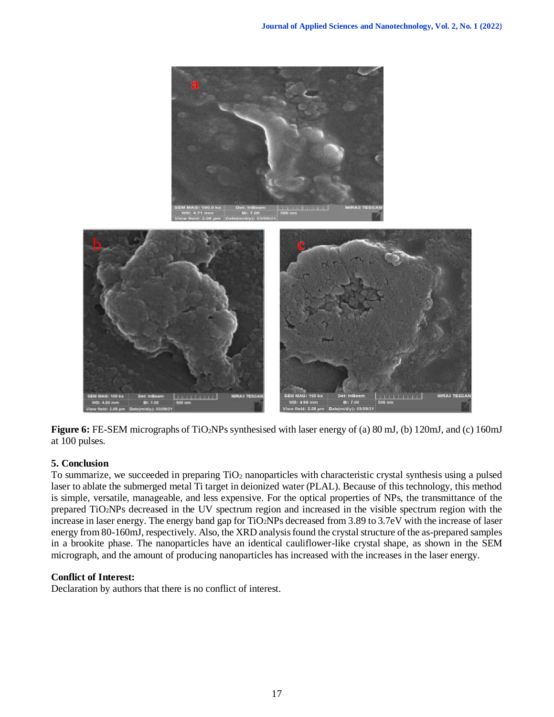

**Figure 6:** FE-SEM micrographs of TiO2NPs synthesised with laser energy of (a) 80 mJ, (b) 120mJ, and (c) 160mJ at 100 pulses.

# **5. Conclusion**

To summarize, we succeeded in preparing  $TiO<sub>2</sub>$  nanoparticles with characteristic crystal synthesis using a pulsed laser to ablate the submerged metal Ti target in deionized water (PLAL). Because of this technology, this method is simple, versatile, manageable, and less expensive. For the optical properties of NPs, the transmittance of the prepared TiO2NPs decreased in the UV spectrum region and increased in the visible spectrum region with the increase in laser energy. The energy band gap for TiO2NPs decreased from 3.89 to 3.7eV with the increase of laser energy from 80-160mJ, respectively. Also, the XRD analysis found the crystal structure of the as-prepared samples in a brookite phase. The nanoparticles have an identical cauliflower-like crystal shape, as shown in the SEM micrograph, and the amount of producing nanoparticles has increased with the increases in the laser energy.

# **Conflict of Interest:**

Declaration by authors that there is no conflict of interest.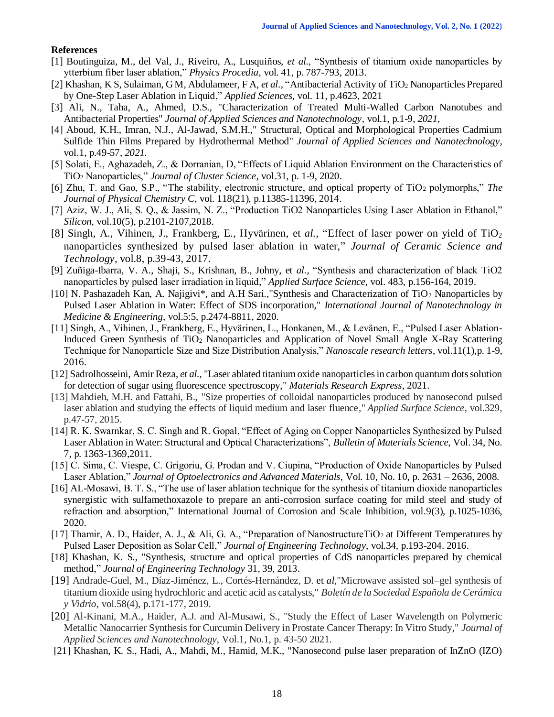### **References**

- [1] Boutinguiza, M., del Val, J., Riveiro, A., Lusquiños*, et al.,* "Synthesis of titanium oxide nanoparticles by ytterbium fiber laser ablation," *Physics Procedia*, vol. 41, p. 787-793, 2013.
- [2] Khashan, K S, Sulaiman, G M, Abdulameer, F A, *et al.,* ["Antibacterial Activity of TiO](javascript:void(0))<sup>2</sup> Nanoparticles Prepared [by One-Step Laser Ablation in Liquid,](javascript:void(0))" *Applied Sciences,* vol*.* 11, p.4623, 2021
- [3] Ali, N., Taha, A., Ahmed, D.S., ["Characterization of Treated Multi-Walled Carbon Nanotubes and](https://jasn.uotechnology.edu.iq/article_11636.html)  [Antibacterial Properties"](https://jasn.uotechnology.edu.iq/article_11636.html) *Journal of Applied Sciences and Nanotechnology*, vol.1, p.1-9, *2021,*
- [4] Aboud, K.H., Imran, N.J., Al-Jawad, S.M.H.," Structural, Optical and Morphological Properties Cadmium Sulfide Thin Films Prepared by Hydrothermal Method" *Journal of Applied Sciences and Nanotechnology*, vol.1, p.49-57, *2021.*
- [5] Solati, E., Aghazadeh, Z., & Dorranian, D, "Effects of Liquid Ablation Environment on the Characteristics of TiO<sup>2</sup> Nanoparticles," *Journal of Cluster Science*, vol.31, p. 1-9, 2020.
- [6] Zhu, T. and Gao, S.P., "The stability, electronic structure, and optical property of TiO<sup>2</sup> polymorphs," *The Journal of Physical Chemistry C*, vol. 118(21), p.11385-11396, 2014.
- [7] Aziz, W. J., Ali, S. Q., & Jassim, N. Z., "Production TiO2 Nanoparticles Using Laser Ablation in Ethanol," *Silicon*, vol.10(5), p.2101-2107,2018.
- [8] Singh, A., Vihinen, J., Frankberg, E., Hyvärinen, et al., "Effect of laser power on yield of TiO<sub>2</sub> nanoparticles synthesized by pulsed laser ablation in water," *Journal of Ceramic Science and Technology,* vol.8, p.39-43, 2017.
- [9] Zuñiga-Ibarra, V. A., Shaji, S., Krishnan, B., Johny, et *al.,* "Synthesis and characterization of black TiO2 nanoparticles by pulsed laser irradiation in liquid," *Applied Surface Science*, vol. 483, p.156-164, 2019.
- [10] N. Pashazadeh Kan, A. Najigivi\*, and A.H Sari.,"Synthesis and Characterization of TiO<sup>2</sup> Nanoparticles by Pulsed Laser Ablation in Water: Effect of SDS incorporation," *International Journal of Nanotechnology in Medicine & Engineering*, vol.5:5, p.2474-8811, 2020.
- [11] Singh, A., Vihinen, J., Frankberg, E., Hyvärinen, L., Honkanen, M., & Levänen, E., "Pulsed Laser Ablation-Induced Green Synthesis of TiO<sup>2</sup> Nanoparticles and Application of Novel Small Angle X-Ray Scattering Technique for Nanoparticle Size and Size Distribution Analysis," *Nanoscale research letters*, vol.11(1),p. 1-9, 2016.
- [12] Sadrolhosseini, Amir Reza, *et al.,* "Laser ablated titanium oxide nanoparticles in carbon quantum dots solution for detection of sugar using fluorescence spectroscopy," *Materials Research Express*, 2021.
- [13] Mahdieh, M.H. and Fattahi, B., "Size properties of colloidal nanoparticles produced by nanosecond pulsed laser ablation and studying the effects of liquid medium and laser fluence," *Applied Surface Science*, vol.329, p.47-57, 2015.
- [14] R. K. Swarnkar, S. C. Singh and R. Gopal, "Effect of Aging on Copper Nanoparticles Synthesized by Pulsed Laser Ablation in Water: Structural and Optical Characterizations", *Bulletin of Materials Science*, Vol. 34, No. 7, p. 1363-1369,2011.
- [15] C. Sima, C. Viespe, C. Grigoriu, G. Prodan and V. Ciupina, "Production of Oxide Nanoparticles by Pulsed Laser Ablation," *Journal of Optoelectronics and Advanced Materials*, Vol. 10, No. 10, p. 2631 – 2636, 2008.
- [16] AL-Mosawi, B. T. S., "The use of laser ablation technique for the synthesis of titanium dioxide nanoparticles synergistic with sulfamethoxazole to prepare an anti-corrosion surface coating for mild steel and study of refraction and absorption," International Journal of Corrosion and Scale Inhibition, vol.9(3), p.1025-1036, 2020.
- [17] Thamir, A. D., Haider, A. J., & Ali, G. A., "Preparation of NanostructureTiO<sub>2</sub> at Different Temperatures by Pulsed Laser Deposition as Solar Cell," *Journal of Engineering Technology*, vol.34, p.193-204. 2016.
- [18] Khashan, K. S., ["Synthesis, structure and optical properties of CdS nanoparticles prepared by chemical](javascript:void(0))  [method,](javascript:void(0))" *Journal of Engineering Technology* 31, 39, 2013.
- [19] Andrade-Guel, M., Díaz-Jiménez, L., Cortés-Hernández, D. et *al*,"Microwave assisted sol–gel synthesis of titanium dioxide using hydrochloric and acetic acid as catalysts," *Boletín de la Sociedad Española de Cerámica y Vidrio,* vol.58(4), p.171-177, 2019.
- [20] Al-Kinani, M.A., Haider, A.J. and Al-Musawi, S., "Study the Effect of Laser Wavelength on Polymeric Metallic Nanocarrier Synthesis for Curcumin Delivery in Prostate Cancer Therapy: In Vitro Study," *Journal of Applied Sciences and Nanotechnology,* Vol.1, No.1, p. 43-50 2021.
- [21] Khashan, K. S., Hadi, A., Mahdi, M., Hamid, M.K., ["Nanosecond pulse laser preparation of InZnO \(IZO\)](https://scholar.google.com/citations?view_op=view_citation&hl=en&user=meG5wgMAAAAJ&citation_for_view=meG5wgMAAAAJ:OR75R8vi5nAC)